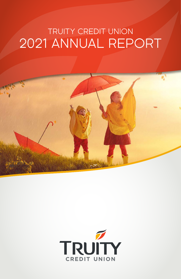# TRUITY CREDIT UNION 2021 ANNUAL REPORT



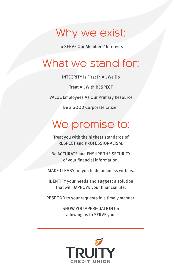### Why we exist:

To SERVE Our Members' Interests

## What we stand for:

INTEGRITY Is First In All We Do

Treat All With RESPECT

VALUE Employees As Our Primary Resource

Be a GOOD Corporate Citizen

## We promise to:

Treat you with the highest standards of RESPECT and PROFESSIONALISM.

Be ACCURATE and ENSURE THE SECURITY of your financial information.

MAKE IT EASY for you to do business with us.

IDENTIFY your needs and suggest a solution that will IMPROVE your financial life.

RESPOND to your requests in a timely manner.

SHOW YOU APPRECIATION for allowing us to SERVE you.

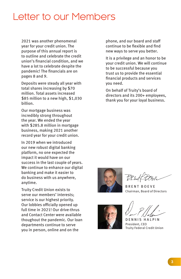### Letter to our Members

2021 was another phenomenal year for your credit union. The purpose of this annual report is to outline and celebrate the credit union's financial condition, and we have a lot to celebrate despite the pandemic! The financials are on pages 8 and 9.

Deposits were steady all year with total shares increasing by \$70 million. Total assets increased \$85 million to a new high, \$1,030 billion.

Our mortgage business was incredibly strong throughout the year. We ended the year with \$285.8 million in mortgage business, making 2021 another record year for your credit union.

In 2019 when we introduced our new robust digital banking platform, no one expected the impact it would have on our success in the last couple of years. We continue to enhance our digital banking and make it easier to do business with us anywhere, anytime.

Truity Credit Union exists to serve our members' interests; service is our highest priority. Our lobbies officially opened up full time in 2021! Our drive-thrus and Contact Center were available thoughout the pandemic. Our loan departments continue to serve you in person, online and on the

phone, and our board and staff continue to be flexible and find new ways to serve you better.

It is a privilege and an honor to be your credit union. We will continue to be successful because you trust us to provide the essential financial products and services you need.

On behalf of Truity's board of directors and its 200+ employees, thank you for your loyal business.



BRENT BOEVE Chairman, Board of Directors



**HALPIN** President, CEO Truity Federal Credit Union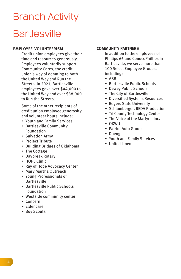# **Bartlesville** Branch Activity

#### **EMPLOYEE VOLUNTEERISM**

Credit union employees give their time and resources generously. Employees voluntarily support Community Cares, the credit union's way of donating to both the United Way and Run the Streets. In 2021, Bartlesville employees gave over \$44,000 to the United Way and over \$38,000 to Run the Streets.

Some of the other recipients of credit union employee generosity and volunteer hours include:

- ▸ Youth and Family Services
- ▸ Bartlesville Community Foundation
- ▸ Salvation Army
- ▸ Project Tribute
- ▸ Building Bridges of Oklahoma
- ▸ The Cottage
- ▸ Daybreak Rotary
- ▸ HOPE Clinic
- ▸ Ray of Hope Advocacy Center
- ▸ Mary Martha Outreach
- ▸ Young Professionals of Bartlesville
- ▸ Bartlesville Public Schools Foundation
- ▸ Westside community center
- ▸ Concern
- ▸ Elder care
- ▸ Boy Scouts

#### **COMMUNITY PARTNERS**

In addition to the employees of Phillips 66 and ConocoPhillips in Bartlesville, we serve more than 100 Select Employee Groups, including:

- ▸ ABB
- ▸ Bartlesville Public Schools
- ▸ Dewey Public Schools
- ▸ The City of Bartlesville
- ▸ Diversified Systems Resources
- ▸ Rogers State University
- ▸ Schlumberger, REDA Production
- ▸ Tri County Technology Center
- ▸ The Voice of the Martyrs, Inc.
- ▸ OKWU
- ▸ Patriot Auto Group
- ▸ Doenges
- ▸ Youth and Family Services
- ▸ United Linen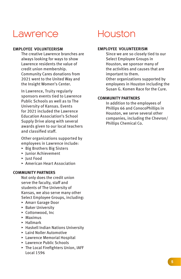### **Lawrence**

#### **EMPLOYEE VOLUNTEERISM**

The creative Lawrence branches are always looking for ways to show Lawrence residents the value of credit union membership. Community Cares donations from 2021 went to the United Way and the Insight Women's Center.

In Lawrence, Truity regularly sponsors events tied to Lawrence Public Schools as well as to The University of Kansas. Events for 2021 included the Lawrence Education Association's School Supply Drive along with several awards given to our local teachers and classified staff.

Other organizations supported by employees in Lawrence include:

- ▸ Big Brothers Big Sisters
- ▸ Junior Achievement
- ▸ Just Food
- ▸ American Heart Association

#### **COMMUNITY PARTNERS**

Not only does the credit union serve the faculty, staff and students of The University of Kansas, we also serve many other Select Employee Groups, including:

- ▸ Amarr Garage Door
- ▸ Baker University
- ▸ Cottonwood, Inc
- ▸ Maximus
- ▸ Hallmark
- ▸ Haskell Indian Nations University
- ▸ Laird Noller Automotive
- ▸ Lawrence Memorial Hospital
- ▸ Lawrence Public Schools
- ▸ The Local Firefighters Union, IAFF Local 1596

### Houston

#### **EMPLOYEE VOLUNTEERISM**

Since we are so closely tied to our Select Employee Groups in Houston, we sponsor many of the activities and causes that are important to them. Other organizations supported by employees in Houston including the Susan G. Komen Race for the Cure.

#### **COMMUNITY PARTNERS**

In addition to the employees of Phillips 66 and ConocoPhillips in Houston, we serve several other companies, including the Chevron/ Phillips Chemical Co.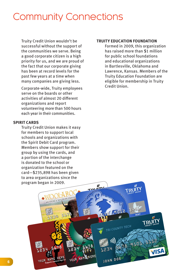### Community Connections

Truity Credit Union wouldn't be successful without the support of the communities we serve. Being a good corporate citizen is a high priority for us, and we are proud of the fact that our corporate giving has been at record levels for the past few years at a time when many companies are giving less.

Corporate-wide, Truity employees serve on the boards or other activities of almost 20 different organizations and report volunteering more than 500 hours each year in their communities.

#### **SPIRIT CARDS**

Truity Credit Union makes it easy for members to support local schools and organizations with the Spirit Debit Card program. Members show support for their group by using the cards, and a portion of the interchange is donated to the school or organization featured on the card—\$235,898 has been given to area organizations since the program began in 2009.

#### **TRUITY EDUCATION FOUNDATION**

Formed in 2009, this organization has raised more than \$1 million for public school foundations and educational organizations in Bartlesville, Oklahoma and Lawrence, Kansas. Members of the Truity Education Foundation are eligible for membership in Truity Credit Union.

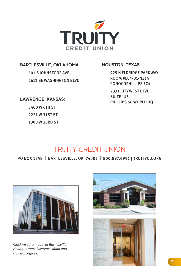

#### **BARTLESVILLE, OKLAHOMA:**

501 S JOHNSTONE AVE 2612 SE WASHINGTON BLVD

#### **LAWRENCE, KANSAS:**

3400 W 6TH ST 2221 W 31ST ST 1300 W 23RD ST

#### **HOUSTON, TEXAS:**

925 N ELDRIDGE PARKWAY ROOM #EC4-01-N314 CONOCOPHILLIPS EC4

2331 CITYWEST BLVD SUITE 143 PHILLIPS 66 WORLD HQ

### TRUITY CREDIT UNION

PO BOX 1358 | BARTLESVILLE, OK 74005 | 800.897.6991 | TRUITYCU.ORG



*Clockwise from above: Bartlesville Headquarters, Lawrence Main and*  Houston offices.

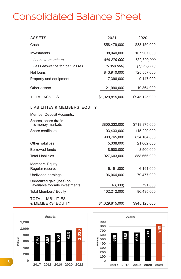### Consolidated Balance Sheet

| <b>ASSETS</b>                                 | 2021            | 2020          |
|-----------------------------------------------|-----------------|---------------|
| Cash                                          | \$58,479,000    | \$83,150,000  |
| Investments                                   | 98,040,000      | 107,907,000   |
| Loans to members                              | 849,279,000     | 732,809,000   |
| Less allowance for loan losses                | (5, 369, 000)   | (7, 252, 000) |
| Net loans                                     | 843,910,000     | 725,557,000   |
| Property and equipment                        | 7,396,000       | 9,147,000     |
| Other assets                                  | 21,990,000      | 19,364,000    |
| <b>TOTAL ASSETS</b>                           | \$1,029,815,000 | \$945,125,000 |
| LIABILITIES & MEMBERS' EQUITY                 |                 |               |
| Member Deposit Accounts:                      |                 |               |
| Shares, share drafts<br>& money markets       | \$800,332,000   | \$718,875,000 |
| Share certificates                            | 103,433,000     | 115,229,000   |
|                                               | 903,765,000     | 834,104,000   |
| Other liabilities                             | 5,338,000       | 21,062,000    |
| <b>Borrowed funds</b>                         | 18,500,000      | 3,500,000     |
| <b>Total Liabilities</b>                      | 927,603,000     | 858,666,000   |
| Members' Equity:<br>Regular reserve           | 6,191,000       | 6,191,000     |
| Undivided earnings                            | 96,064,000      | 79,477,000    |
| Unrealized gain (loss) on                     |                 |               |
| available for-sale investments                | (43,000)        | 791,000       |
| <b>Total Members' Equity</b>                  | 102,212,000     | 86,495,000    |
| <b>TOTAL LIABILITIES</b><br>& MEMBERS' EQUITY | \$1,029,815,000 | \$945,125,000 |



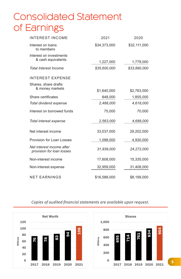## Consolidated Statement of Earnings

| <b>INTEREST INCOME</b>                                 | 2021         | 2020         |
|--------------------------------------------------------|--------------|--------------|
| Interest on loans<br>to members                        | \$34,373,000 | \$32,111,000 |
| Interest on investments                                |              |              |
| & cash equivalents                                     | 1,227,000    | 1,779,000    |
| <b>Total Interest Income</b>                           | \$35,600,000 | \$33,890,000 |
| <b>INTEREST EXPENSE</b>                                |              |              |
| Shares, share drafts                                   |              |              |
| & money markets                                        | \$1,640,000  | \$2,763,000  |
| Share certificates                                     | 848,000      | 1,855,000    |
| Total dividend expense                                 | 2,488,000    | 4,618,000    |
| Interest on borrowed funds                             | 75,000       | 70,000       |
| Total interest expense                                 | 2,563,000    | 4,688,000    |
| Net interest income                                    | 33,037,000   | 29,202,000   |
| Provision for Loan Losses                              | 1,098,000    | 4,930,000    |
| Net interest income after<br>provision for loan losses | 31,939,000   | 24,272,000   |
| Non-interest income                                    | 17,608,000   | 15,335,000   |
| Non-interest expense                                   | 32,959,000   | 31,408,000   |
| <b>NET EARNINGS</b>                                    | \$16,588,000 | \$8,199,000  |





### *Copies of audited financial statements* are available upon request.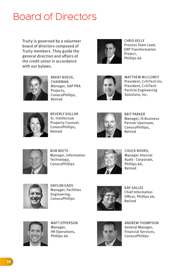### Board of Directors

Truity is governed by a volunteer board of directors composed of Truity members. They guide the general direction and affairs of the credit union in accordance with our bylaws.



CHRIS KELLY Process Team Lead, ERP Transformation Project, Phillips 66



BRENT BOEVE, CHAIRMAN Manager, SAP PRA Projects, ConocoPhillips, Retired



MATTHEW McCLOREY President, CritiTech Inc. President, CritiTech Particle Engineering Solutions, Inc.



BEVERLY DOLLAR Sr. Intellectual Property Counsel, ConocoPhillips, Retired



BRIT PARKER Manager, IS Business Partner Upstream, ConocoPhillips, Retired



BOB BEETS Manager, Information Technology, ConocoPhillips



CHUCK ROHRS, Manager Internal Audit - Corporate, Phillips 66, Retired



DAYLON EADS Manager, Facilities Engineering, ConocoPhillips



KAY SALLEE Chief Information Officer, Phillips 66, Retired



MATT EPPERSON Manager, HR Operations, Phillips 66



ANDREW THOMPSON General Manager, Financial Services, ConocoPhillips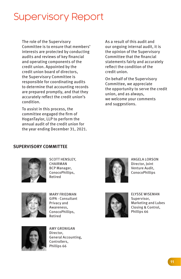### Supervisory Report

The role of the Supervisory Committee is to ensure that members' interests are protected by conducting audits and reviews of key financial and operating components of the credit union. Appointed by the credit union board of directors, the Supervisory Committee is responsible for coordinating audits to determine that accounting records are prepared promptly, and that they accurately reflect the credit union's condition.

To assist in this process, the committee engaged the firm of HoganTaylor, LLP to perform the annual audit of the credit union for the year ending December 31, 2021.

As a result of this audit and our ongoing internal audit, it is the opinion of the Supervisory Committee that the financial statements fairly and accurately reflect the condition of the credit union.

On behalf of the Supervisory Committee, we appreciate the opportunity to serve the credit union, and as always, we welcome your comments and suggestions.

### **SUPERVISORY COMMITTEE**



SCOTT HENSLEY, CHAIRMAN BCP Manager, ConocoPhillips, Retired



MARY FRIEDMAN GIPA - Consultant Privacy and Awareness, ConocoPhillips, Retired



AMY GRONIGAN Director, General Accounting, Controllers, Phillips 66



ANGELA LORSON Director, Joint Venture Audit, ConocoPhillips



ELYSSE WISEMAN Supervisor, Marketing and Lubes Closing & Control, Phillips 66